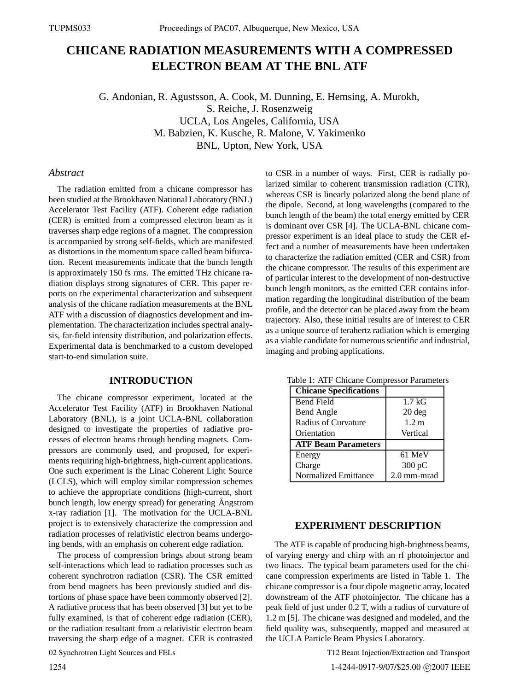# **CHICANE RADIATION MEASUREMENTS WITH A COMPRESSED ELECTRON BEAM AT THE BNL ATF**

G. Andonian, R. Agustsson, A. Cook, M. Dunning, E. Hemsing, A. Murokh, S. Reiche, J. Rosenzweig UCLA, Los Angeles, California, USA M. Babzien, K. Kusche, R. Malone, V. Yakimenko BNL, Upton, New York, USA

## *Abstract*

The radiation emitted from a chicane compressor has been studied at the Brookhaven National Laboratory (BNL) Accelerator Test Facility (ATF). Coherent edge radiation (CER) is emitted from a compressed electron beam as it traverses sharp edge regions of a magnet. The compression is accompanied by strong self-fields, which are manifested as distortions in the momentum space called beam bifurcation. Recent measurements indicate that the bunch length is approximately 150 fs rms. The emitted THz chicane radiation displays strong signatures of CER. This paper reports on the experimental characterization and subsequent analysis of the chicane radiation measurements at the BNL ATF with a discussion of diagnostics development and implementation. The characterization includes spectral analysis, far-field intensity distribution, and polarization effects. Experimental data is benchmarked to a custom developed start-to-end simulation suite.

## **INTRODUCTION**

The chicane compressor experiment, located at the Accelerator Test Facility (ATF) in Brookhaven National Laboratory (BNL), is a joint UCLA-BNL collaboration designed to investigate the properties of radiative processes of electron beams through bending magnets. Compressors are commonly used, and proposed, for experiments requiring high-brightness, high-current applications. One such experiment is the Linac Coherent Light Source (LCLS), which will employ similar compression schemes to achieve the appropriate conditions (high-current, short bunch length, low energy spread) for generating Ångstrom x-ray radiation [1]. The motivation for the UCLA-BNL project is to extensively characterize the compression and radiation processes of relativistic electron beams undergoing bends, with an emphasis on coherent edge radiation.

The process of compression brings about strong beam self-interactions which lead to radiation processes such as coherent synchrotron radiation (CSR). The CSR emitted from bend magnets has been previously studied and distortions of phase space have been commonly observed [2]. A radiative process that has been observed [3] but yet to be fully examined, is that of coherent edge radiation (CER), or the radiation resultant from a relativistic electron beam traversing the sharp edge of a magnet. CER is contrasted

02 Synchrotron Light Sources and FELs

to CSR in a number of ways. First, CER is radially polarized similar to coherent transmission radiation (CTR), whereas CSR is linearly polarized along the bend plane of the dipole. Second, at long wavelengths (compared to the bunch length of the beam) the total energy emitted by CER is dominant over CSR [4]. The UCLA-BNL chicane compressor experiment is an ideal place to study the CER effect and a number of measurements have been undertaken to characterize the radiation emitted (CER and CSR) from the chicane compressor. The results of this experiment are of particular interest to the development of non-destructive bunch length monitors, as the emitted CER contains information regarding the longitudinal distribution of the beam profile, and the detector can be placed away from the beam trajectory. Also, these initial results are of interest to CER as a unique source of terahertz radiation which is emerging as a viable candidate for numerous scientific and industrial, imaging and probing applications.

| <b>Chicane Specifications</b> |                     |
|-------------------------------|---------------------|
| <b>Bend Field</b>             | 1.7 kG              |
| Bend Angle                    | $20$ deg            |
| <b>Radius of Curvature</b>    | 1.2 <sub>m</sub>    |
| Orientation                   | Vertical            |
| <b>ATF Beam Parameters</b>    |                     |
| Energy                        | 61 MeV              |
| Charge                        | $300 \,\mathrm{pC}$ |
| <b>Normalized Emittance</b>   | 2.0 mm-mrad         |

Table 1: ATF Chicane Compressor Parameters

## **EXPERIMENT DESCRIPTION**

The ATF is capable of producing high-brightness beams, of varying energy and chirp with an rf photoinjector and two linacs. The typical beam parameters used for the chicane compression experiments are listed in Table 1. The chicane compressor is a four dipole magnetic array, located downstream of the ATF photoinjector. The chicane has a peak field of just under 0.2 T, with a radius of curvature of 1.2 m [5]. The chicane was designed and modeled, and the field quality was, subsequently, mapped and measured at the UCLA Particle Beam Physics Laboratory.

T12 Beam Injection/Extraction and Transport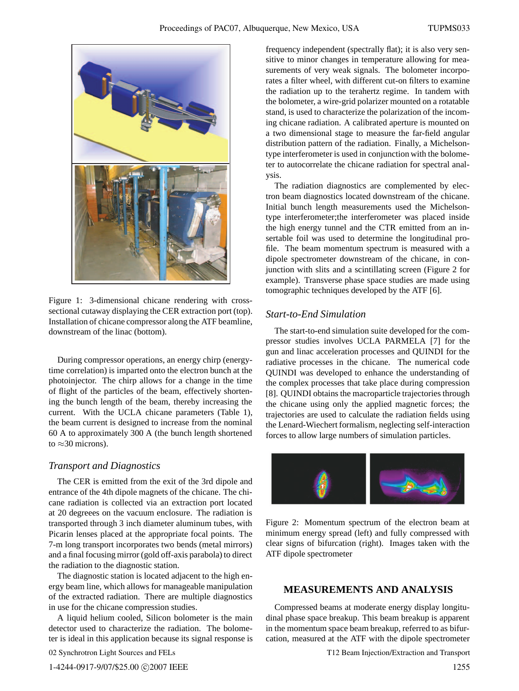

Figure 1: 3-dimensional chicane rendering with crosssectional cutaway displaying the CER extraction port (top). Installation of chicane compressor along the ATF beamline, downstream of the linac (bottom).

During compressor operations, an energy chirp (energytime correlation) is imparted onto the electron bunch at the photoinjector. The chirp allows for a change in the time of flight of the particles of the beam, effectively shortening the bunch length of the beam, thereby increasing the current. With the UCLA chicane parameters (Table 1), the beam current is designed to increase from the nominal 60 A to approximately 300 A (the bunch length shortened to  $\approx$ 30 microns).

### *Transport and Diagnostics*

The CER is emitted from the exit of the 3rd dipole and entrance of the 4th dipole magnets of the chicane. The chicane radiation is collected via an extraction port located at 20 degreees on the vacuum enclosure. The radiation is transported through 3 inch diameter aluminum tubes, with Picarin lenses placed at the appropriate focal points. The 7-m long transport incorporates two bends (metal mirrors) and a final focusing mirror (gold off-axis parabola) to direct the radiation to the diagnostic station.

The diagnostic station is located adjacent to the high energy beam line, which allows for manageable manipulation of the extracted radiation. There are multiple diagnostics in use for the chicane compression studies.

A liquid helium cooled, Silicon bolometer is the main detector used to characterize the radiation. The bolometer is ideal in this application because its signal response is

02 Synchrotron Light Sources and FELs

frequency independent (spectrally flat); it is also very sensitive to minor changes in temperature allowing for measurements of very weak signals. The bolometer incorporates a filter wheel, with different cut-on filters to examine the radiation up to the terahertz regime. In tandem with the bolometer, a wire-grid polarizer mounted on a rotatable stand, is used to characterize the polarization of the incoming chicane radiation. A calibrated aperture is mounted on a two dimensional stage to measure the far-field angular distribution pattern of the radiation. Finally, a Michelsontype interferometer is used in conjunction with the bolometer to autocorrelate the chicane radiation for spectral analysis.

The radiation diagnostics are complemented by electron beam diagnostics located downstream of the chicane. Initial bunch length measurements used the Michelsontype interferometer;the interferometer was placed inside the high energy tunnel and the CTR emitted from an insertable foil was used to determine the longitudinal profile. The beam momentum spectrum is measured with a dipole spectrometer downstream of the chicane, in conjunction with slits and a scintillating screen (Figure 2 for example). Transverse phase space studies are made using tomographic techniques developed by the ATF [6].

# *Start-to-End Simulation*

The start-to-end simulation suite developed for the compressor studies involves UCLA PARMELA [7] for the gun and linac acceleration processes and QUINDI for the radiative processes in the chicane. The numerical code QUINDI was developed to enhance the understanding of the complex processes that take place during compression [8]. QUINDI obtains the macroparticle trajectories through the chicane using only the applied magnetic forces; the trajectories are used to calculate the radiation fields using the Lenard-Wiechert formalism, neglecting self-interaction forces to allow large numbers of simulation particles.



Figure 2: Momentum spectrum of the electron beam at minimum energy spread (left) and fully compressed with clear signs of bifurcation (right). Images taken with the ATF dipole spectrometer

## **MEASUREMENTS AND ANALYSIS**

Compressed beams at moderate energy display longitudinal phase space breakup. This beam breakup is apparent in the momentum space beam breakup, referred to as bifurcation, measured at the ATF with the dipole spectrometer

T12 Beam Injection/Extraction and Transport